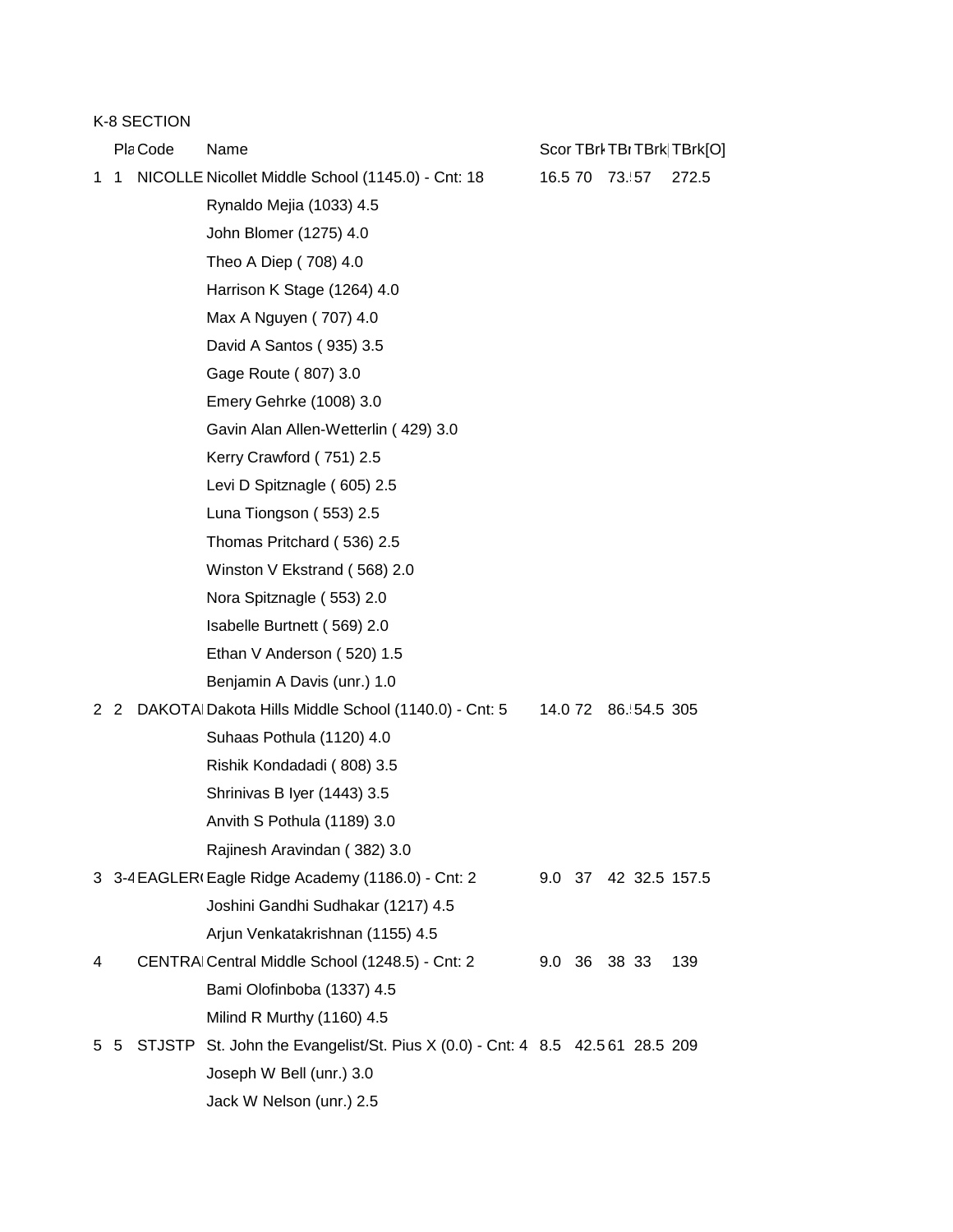K-8 SECTION

Pla Code Name Scor TBrk TBrK TBrk[O] 1 1 NICOLLE Nicollet Middle School (1145.0) - Cnt: 18 16.5 70 73.57 272.5 Rynaldo Mejia (1033) 4.5 John Blomer (1275) 4.0 Theo A Diep ( 708) 4.0 Harrison K Stage (1264) 4.0 Max A Nguyen ( 707) 4.0 David A Santos ( 935) 3.5 Gage Route ( 807) 3.0 Emery Gehrke (1008) 3.0 Gavin Alan Allen-Wetterlin ( 429) 3.0 Kerry Crawford ( 751) 2.5 Levi D Spitznagle ( 605) 2.5 Luna Tiongson ( 553) 2.5 Thomas Pritchard ( 536) 2.5 Winston V Ekstrand ( 568) 2.0 Nora Spitznagle ( 553) 2.0 Isabelle Burtnett ( 569) 2.0 Ethan V Anderson ( 520) 1.5 Benjamin A Davis (unr.) 1.0 2 2 DAKOTAHDakota Hills Middle School (1140.0) - Cnt: 5 14.0 72 86.554.5 305 Suhaas Pothula (1120) 4.0 Rishik Kondadadi ( 808) 3.5 Shrinivas B Iyer (1443) 3.5 Anvith S Pothula (1189) 3.0 Rajinesh Aravindan ( 382) 3.0 3 3-4 EAGLER (Eagle Ridge Academy (1186.0) - Cnt: 2 9.0 37 42 32.5 157.5 Joshini Gandhi Sudhakar (1217) 4.5 Arjun Venkatakrishnan (1155) 4.5 4 CENTRALCentral Middle School (1248.5) - Cnt: 2 9.0 36 38 33 139 Bami Olofinboba (1337) 4.5 Milind R Murthy (1160) 4.5 5 5 STJSTP St. John the Evangelist/St. Pius X (0.0) - Cnt: 4 8.5 42.5 61 28.5 209 Joseph W Bell (unr.) 3.0 Jack W Nelson (unr.) 2.5